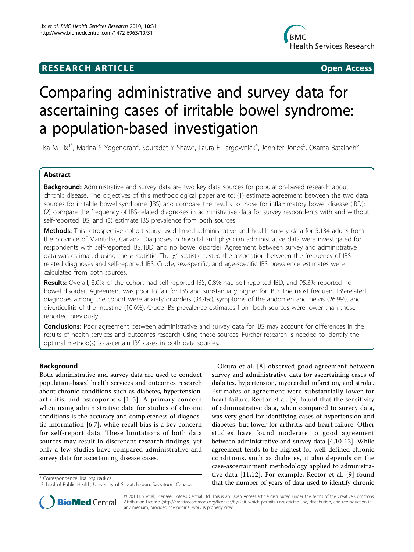# **RESEARCH ARTICLE Example 2018 CONSUMING ACCESS**



# Comparing administrative and survey data for ascertaining cases of irritable bowel syndrome: a population-based investigation

Lisa M Lix<sup>1\*</sup>, Marina S Yogendran<sup>2</sup>, Souradet Y Shaw<sup>3</sup>, Laura E Targownick<sup>4</sup>, Jennifer Jones<sup>5</sup>, Osama Bataineh<sup>6</sup>

# Abstract

**Background:** Administrative and survey data are two key data sources for population-based research about chronic disease. The objectives of this methodological paper are to: (1) estimate agreement between the two data sources for irritable bowel syndrome (IBS) and compare the results to those for inflammatory bowel disease (IBD); (2) compare the frequency of IBS-related diagnoses in administrative data for survey respondents with and without self-reported IBS, and (3) estimate IBS prevalence from both sources.

Methods: This retrospective cohort study used linked administrative and health survey data for 5,134 adults from the province of Manitoba, Canada. Diagnoses in hospital and physician administrative data were investigated for respondents with self-reported IBS, IBD, and no bowel disorder. Agreement between survey and administrative data was estimated using the  $\kappa$  statistic. The  $\chi^2$  statistic tested the association between the frequency of IBSrelated diagnoses and self-reported IBS. Crude, sex-specific, and age-specific IBS prevalence estimates were calculated from both sources.

Results: Overall, 3.0% of the cohort had self-reported IBS, 0.8% had self-reported IBD, and 95.3% reported no bowel disorder. Agreement was poor to fair for IBS and substantially higher for IBD. The most frequent IBS-related diagnoses among the cohort were anxiety disorders (34.4%), symptoms of the abdomen and pelvis (26.9%), and diverticulitis of the intestine (10.6%). Crude IBS prevalence estimates from both sources were lower than those reported previously.

Conclusions: Poor agreement between administrative and survey data for IBS may account for differences in the results of health services and outcomes research using these sources. Further research is needed to identify the optimal method(s) to ascertain IBS cases in both data sources.

# Background

Both administrative and survey data are used to conduct population-based health services and outcomes research about chronic conditions such as diabetes, hypertension, arthritis, and osteoporosis [[1-5](#page-7-0)]. A primary concern when using administrative data for studies of chronic conditions is the accuracy and completeness of diagnostic information [[6,7](#page-7-0)], while recall bias is a key concern for self-report data. These limitations of both data sources may result in discrepant research findings, yet only a few studies have compared administrative and survey data for ascertaining disease cases.

Okura et al. [[8](#page-7-0)] observed good agreement between survey and administrative data for ascertaining cases of diabetes, hypertension, myocardial infarction, and stroke. Estimates of agreement were substantially lower for heart failure. Rector et al. [[9\]](#page-8-0) found that the sensitivity of administrative data, when compared to survey data, was very good for identifying cases of hypertension and diabetes, but lower for arthritis and heart failure. Other studies have found moderate to good agreement between administrative and survey data [[4,](#page-7-0)[10-12](#page-8-0)]. While agreement tends to be highest for well-defined chronic conditions, such as diabetes, it also depends on the case-ascertainment methodology applied to administrative data [[11](#page-8-0),[12](#page-8-0)]. For example, Rector et al. [[9\]](#page-8-0) found tive data [11,12]. For example, Rector et al. [9] found<br>School of Public Health, University of Saskatchewan, Saskatoon, Canada **hat the number of years of data used to identify chronic** 



© 2010 Lix et al; licensee BioMed Central Ltd. This is an Open Access article distributed under the terms of the Creative Commons Attribution License [\(http://creativecommons.org/licenses/by/2.0](http://creativecommons.org/licenses/by/2.0)), which permits unrestricted use, distribution, and reproduction in any medium, provided the original work is properly cited.

<sup>&</sup>lt;sup>1</sup>School of Public Health, University of Saskatchewan, Saskatoon, Canada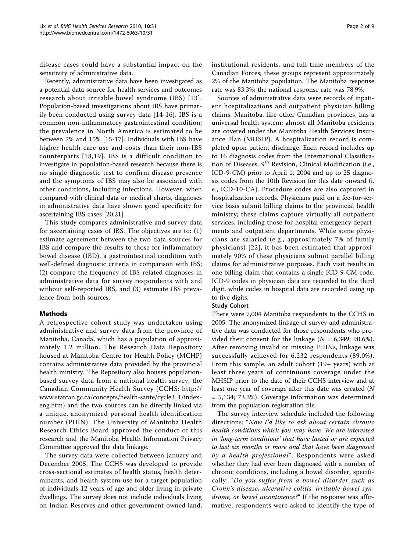disease cases could have a substantial impact on the sensitivity of administrative data.

Recently, administrative data have been investigated as a potential data source for health services and outcomes research about irritable bowel syndrome (IBS) [[13\]](#page-8-0). Population-based investigations about IBS have primarily been conducted using survey data [[14](#page-8-0)-[16](#page-8-0)]. IBS is a common non-inflammatory gastrointestinal condition; the prevalence in North America is estimated to be between 7% and 15% [\[15](#page-8-0)-[17\]](#page-8-0). Individuals with IBS have higher health care use and costs than their non-IBS counterparts [[18](#page-8-0),[19\]](#page-8-0). IBS is a difficult condition to investigate in population-based research because there is no single diagnostic test to confirm disease presence and the symptoms of IBS may also be associated with other conditions, including infections. However, when compared with clinical data or medical charts, diagnoses in administrative data have shown good specificity for ascertaining IBS cases [[20,21\]](#page-8-0).

This study compares administrative and survey data for ascertaining cases of IBS. The objectives are to: (1) estimate agreement between the two data sources for IBS and compare the results to those for inflammatory bowel disease (IBD), a gastrointestinal condition with well-defined diagnostic criteria in comparison with IBS; (2) compare the frequency of IBS-related diagnoses in administrative data for survey respondents with and without self-reported IBS, and (3) estimate IBS prevalence from both sources.

# Methods

A retrospective cohort study was undertaken using administrative and survey data from the province of Manitoba, Canada, which has a population of approximately 1.2 million. The Research Data Repository housed at Manitoba Centre for Health Policy (MCHP) contains administrative data provided by the provincial health ministry. The Repository also houses populationbased survey data from a national health survey, the Canadian Community Health Survey (CCHS; [http://](http://www.statcan.gc.ca/concepts/health-sante/cycle3_1/index-eng.htm) [www.statcan.gc.ca/concepts/health-sante/cycle3\\_1/index](http://www.statcan.gc.ca/concepts/health-sante/cycle3_1/index-eng.htm)[eng.htm](http://www.statcan.gc.ca/concepts/health-sante/cycle3_1/index-eng.htm)) and the two sources can be directly linked via a unique, anonymized personal health identification number (PHIN). The University of Manitoba Health Research Ethics Board approved the conduct of this research and the Manitoba Health Information Privacy Committee approved the data linkage.

The survey data were collected between January and December 2005. The CCHS was developed to provide cross-sectional estimates of health status, health determinants, and health system use for a target population of individuals 12 years of age and older living in private dwellings. The survey does not include individuals living on Indian Reserves and other government-owned land, institutional residents, and full-time members of the Canadian Forces; these groups represent approximately 2% of the Manitoba population. The Manitoba response rate was 83.3%; the national response rate was 78.9%.

Sources of administrative data were records of inpatient hospitalizations and outpatient physician billing claims. Manitoba, like other Canadian provinces, has a universal health system; almost all Manitoba residents are covered under the Manitoba Health Services Insurance Plan (MHSIP). A hospitalization record is completed upon patient discharge. Each record includes up to 16 diagnosis codes from the International Classification of Diseases, 9<sup>th</sup> Revision, Clinical Modification (i.e., ICD-9-CM) prior to April 1, 2004 and up to 25 diagnosis codes from the 10th Revision for this date onward (i. e., ICD-10-CA). Procedure codes are also captured in hospitalization records. Physicians paid on a fee-for-service basis submit billing claims to the provincial health ministry; these claims capture virtually all outpatient services, including those for hospital emergency departments and outpatient departments. While some physicians are salaried (e.g., approximately 7% of family physicians) [[22\]](#page-8-0), it has been estimated that approximately 90% of these physicians submit parallel billing claims for administrative purposes. Each visit results in one billing claim that contains a single ICD-9-CM code. ICD-9 codes in physician data are recorded to the third digit, while codes in hospital data are recorded using up to five digits.

# Study Cohort

There were 7,004 Manitoba respondents to the CCHS in 2005. The anonymized linkage of survey and administrative data was conducted for those respondents who provided their consent for the linkage ( $N = 6,349;$  90.6%). After removing invalid or missing PHINs, linkage was successfully achieved for 6,232 respondents (89.0%). From this sample, an adult cohort (19+ years) with at least three years of continuous coverage under the MHSIP prior to the date of their CCHS interview and at least one year of coverage after this date was created (N = 5,134; 73.3%). Coverage information was determined from the population registration file.

The survey interview schedule included the following directions: "Now I'd like to ask about certain chronic health conditions which you may have. We are interested in 'long-term conditions' that have lasted or are expected to last six months or more and that have been diagnosed by a health professional". Respondents were asked whether they had ever been diagnosed with a number of chronic conditions, including a bowel disorder, specifically: "Do you suffer from a bowel disorder such as Crohn's disease, ulcerative colitis, irritable bowel syndrome, or bowel incontinence?" If the response was affirmative, respondents were asked to identify the type of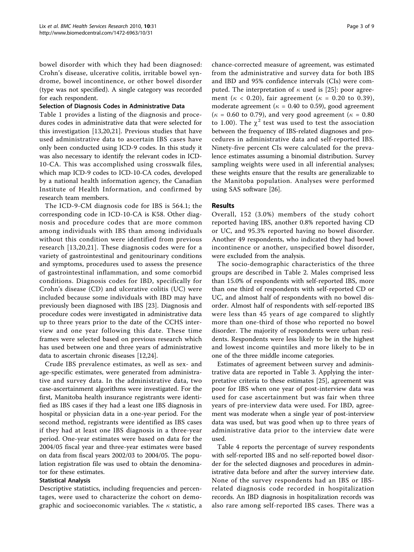bowel disorder with which they had been diagnosed: Crohn's disease, ulcerative colitis, irritable bowel syndrome, bowel incontinence, or other bowel disorder (type was not specified). A single category was recorded for each respondent.

## Selection of Diagnosis Codes in Administrative Data

Table [1](#page-3-0) provides a listing of the diagnosis and procedures codes in administrative data that were selected for this investigation [[13,20,21\]](#page-8-0). Previous studies that have used administrative data to ascertain IBS cases have only been conducted using ICD-9 codes. In this study it was also necessary to identify the relevant codes in ICD-10-CA. This was accomplished using crosswalk files, which map ICD-9 codes to ICD-10-CA codes, developed by a national health information agency, the Canadian Institute of Health Information, and confirmed by research team members.

The ICD-9-CM diagnosis code for IBS is 564.1; the corresponding code in ICD-10-CA is K58. Other diagnosis and procedure codes that are more common among individuals with IBS than among individuals without this condition were identified from previous research [[13](#page-8-0),[20](#page-8-0),[21\]](#page-8-0). These diagnosis codes were for a variety of gastrointestinal and genitourinary conditions and symptoms, procedures used to assess the presence of gastrointestinal inflammation, and some comorbid conditions. Diagnosis codes for IBD, specifically for Crohn's disease (CD) and ulcerative colitis (UC) were included because some individuals with IBD may have previously been diagnosed with IBS [[23\]](#page-8-0). Diagnosis and procedure codes were investigated in administrative data up to three years prior to the date of the CCHS interview and one year following this date. These time frames were selected based on previous research which has used between one and three years of administrative data to ascertain chronic diseases [\[12,24\]](#page-8-0).

Crude IBS prevalence estimates, as well as sex- and age-specific estimates, were generated from administrative and survey data. In the administrative data, two case-ascertainment algorithms were investigated. For the first, Manitoba health insurance registrants were identified as IBS cases if they had a least one IBS diagnosis in hospital or physician data in a one-year period. For the second method, registrants were identified as IBS cases if they had at least one IBS diagnosis in a three-year period. One-year estimates were based on data for the 2004/05 fiscal year and three-year estimates were based on data from fiscal years 2002/03 to 2004/05. The population registration file was used to obtain the denominator for these estimates.

# Statistical Analysis

Descriptive statistics, including frequencies and percentages, were used to characterize the cohort on demographic and socioeconomic variables. The  $\kappa$  statistic, a chance-corrected measure of agreement, was estimated from the administrative and survey data for both IBS and IBD and 95% confidence intervals (CIs) were computed. The interpretation of  $\kappa$  used is [\[25](#page-8-0)]: poor agreement ( $\kappa$  < 0.20), fair agreement ( $\kappa$  = 0.20 to 0.39), moderate agreement ( $\kappa$  = 0.40 to 0.59), good agreement ( $\kappa$  = 0.60 to 0.79), and very good agreement ( $\kappa$  = 0.80) to 1.00). The  $\chi^2$  test was used to test the association between the frequency of IBS-related diagnoses and procedures in administrative data and self-reported IBS. Ninety-five percent CIs were calculated for the prevalence estimates assuming a binomial distribution. Survey sampling weights were used in all inferential analyses; these weights ensure that the results are generalizable to the Manitoba population. Analyses were performed using SAS software [\[26\]](#page-8-0).

# Results

Overall, 152 (3.0%) members of the study cohort reported having IBS, another 0.8% reported having CD or UC, and 95.3% reported having no bowel disorder. Another 49 respondents, who indicated they had bowel incontinence or another, unspecified bowel disorder, were excluded from the analysis.

The socio-demographic characteristics of the three groups are described in Table [2.](#page-4-0) Males comprised less than 15.0% of respondents with self-reported IBS, more than one third of respondents with self-reported CD or UC, and almost half of respondents with no bowel disorder. Almost half of respondents with self-reported IBS were less than 45 years of age compared to slightly more than one-third of those who reported no bowel disorder. The majority of respondents were urban residents. Respondents were less likely to be in the highest and lowest income quintiles and more likely to be in one of the three middle income categories.

Estimates of agreement between survey and administrative data are reported in Table [3.](#page-4-0) Applying the interpretative criteria to these estimates [\[25](#page-8-0)], agreement was poor for IBS when one year of post-interview data was used for case ascertainment but was fair when three years of pre-interview data were used. For IBD, agreement was moderate when a single year of post-interview data was used, but was good when up to three years of administrative data prior to the interview date were used.

Table [4](#page-5-0) reports the percentage of survey respondents with self-reported IBS and no self-reported bowel disorder for the selected diagnoses and procedures in administrative data before and after the survey interview date. None of the survey respondents had an IBS or IBSrelated diagnosis code recorded in hospitalization records. An IBD diagnosis in hospitalization records was also rare among self-reported IBS cases. There was a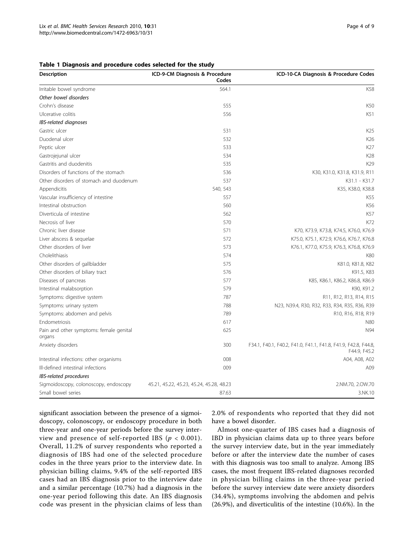#### <span id="page-3-0"></span>Table 1 Diagnosis and procedure codes selected for the study

| <b>Description</b>                                | ICD-9-CM Diagnosis & Procedure<br>Codes  | ICD-10-CA Diagnosis & Procedure Codes                                          |  |
|---------------------------------------------------|------------------------------------------|--------------------------------------------------------------------------------|--|
| Irritable bowel syndrome                          | 564.1                                    | K58                                                                            |  |
| Other bowel disorders                             |                                          |                                                                                |  |
| Crohn's disease                                   | 555                                      | K50                                                                            |  |
| Ulcerative colitis                                | 556                                      | K51                                                                            |  |
| IBS-related diagnoses                             |                                          |                                                                                |  |
| Gastric ulcer                                     | 531                                      | K <sub>25</sub>                                                                |  |
| Duodenal ulcer                                    | 532                                      | K26                                                                            |  |
| Peptic ulcer                                      | 533                                      | K27                                                                            |  |
| Gastrojejunal ulcer                               | 534                                      | K28                                                                            |  |
| Gastritis and duodenitis                          | 535                                      | K29                                                                            |  |
| Disorders of functions of the stomach             | 536                                      | K30, K31.0, K31.8, K31.9, R11                                                  |  |
| Other disorders of stomach and duodenum           | 537                                      | K31.1 - K31.7                                                                  |  |
| Appendicitis                                      | 540, 543                                 | K35, K38.0, K38.8                                                              |  |
| Vascular insufficiency of intestine               | 557                                      | K55                                                                            |  |
| Intestinal obstruction                            | 560                                      | K56                                                                            |  |
| Diverticula of intestine                          | 562                                      | K57                                                                            |  |
| Necrosis of liver                                 | 570                                      | K72                                                                            |  |
| Chronic liver disease                             | 571                                      | K70, K73.9, K73.8, K74.5, K76.0, K76.9                                         |  |
| Liver abscess & sequelae                          | 572                                      | K75.0, K75.1, K72.9, K76.6, K76.7, K76.8                                       |  |
| Other disorders of liver                          | 573                                      | K76.1, K77.0, K75.9, K76.3, K76.8, K76.9                                       |  |
| Cholelithiasis                                    | 574                                      | K80                                                                            |  |
| Other disorders of gallbladder                    | 575                                      | K81.0, K81.8, K82                                                              |  |
| Other disorders of biliary tract                  | 576                                      | K91.5, K83                                                                     |  |
| Diseases of pancreas                              | 577                                      | K85, K86.1, K86.2, K86.8, K86.9                                                |  |
| Intestinal malabsorption                          | 579                                      | K90, K91.2                                                                     |  |
| Symptoms: digestive system                        | 787                                      | R11, R12, R13, R14, R15                                                        |  |
| Symptoms: urinary system                          | 788                                      | N23, N39.4, R30, R32, R33, R34, R35, R36, R39                                  |  |
| Symptoms: abdomen and pelvis                      | 789                                      | R10, R16, R18, R19                                                             |  |
| Endometriosis                                     | 617                                      | N80                                                                            |  |
| Pain and other symptoms: female genital<br>organs | 625                                      | N94                                                                            |  |
| Anxiety disorders                                 | 300                                      | F34.1, F40.1, F40.2, F41.0, F41.1, F41.8, F41.9, F42.8, F44.8,<br>F44.9, F45.2 |  |
| Intestinal infections: other organisms            | 008                                      | A04, A08, A02                                                                  |  |
| Ill-defined intestinal infections                 | 009                                      | A09                                                                            |  |
| IBS-related procedures                            |                                          |                                                                                |  |
| Sigmoidoscopy, colonoscopy, endoscopy             | 45.21, 45.22, 45.23, 45.24, 45.28, 48.23 | 2.NM.70, 2.OW.70                                                               |  |
| Small bowel series                                | 87.63                                    | 3.NK.10                                                                        |  |

significant association between the presence of a sigmoidoscopy, colonoscopy, or endoscopy procedure in both three-year and one-year periods before the survey interview and presence of self-reported IBS ( $p < 0.001$ ). Overall, 11.2% of survey respondents who reported a diagnosis of IBS had one of the selected procedure codes in the three years prior to the interview date. In physician billing claims, 9.4% of the self-reported IBS cases had an IBS diagnosis prior to the interview date and a similar percentage (10.7%) had a diagnosis in the one-year period following this date. An IBS diagnosis code was present in the physician claims of less than 2.0% of respondents who reported that they did not have a bowel disorder.

Almost one-quarter of IBS cases had a diagnosis of IBD in physician claims data up to three years before the survey interview date, but in the year immediately before or after the interview date the number of cases with this diagnosis was too small to analyze. Among IBS cases, the most frequent IBS-related diagnoses recorded in physician billing claims in the three-year period before the survey interview date were anxiety disorders (34.4%), symptoms involving the abdomen and pelvis (26.9%), and diverticulitis of the intestine (10.6%). In the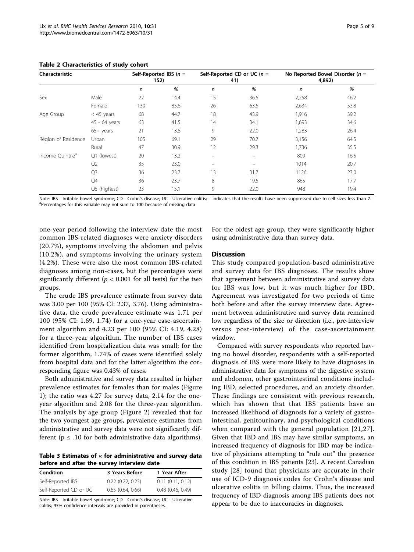| Characteristic               |                | Self-Reported IBS $(n =$<br>152) |      | Self-Reported CD or UC ( $n =$<br>41) |      | No Reported Bowel Disorder ( $n =$<br>4,892) |      |
|------------------------------|----------------|----------------------------------|------|---------------------------------------|------|----------------------------------------------|------|
|                              |                | $\mathsf{n}$                     | %    | $\mathsf{n}$                          | %    | n                                            | %    |
| Sex                          | Male           | 22                               | 14.4 | 15                                    | 36.5 | 2,258                                        | 46.2 |
|                              | Female         | 130                              | 85.6 | 26                                    | 63.5 | 2,634                                        | 53.8 |
| Age Group                    | $<$ 45 years   | 68                               | 44.7 | 18                                    | 43.9 | 1,916                                        | 39.2 |
|                              | 45 - 64 years  | 63                               | 41.5 | 14                                    | 34.1 | 1,693                                        | 34.6 |
|                              | $65+$ years    | 21                               | 13.8 | 9                                     | 22.0 | 1,283                                        | 26.4 |
| Region of Residence          | Urban          | 105                              | 69.1 | 29                                    | 70.7 | 3,156                                        | 64.5 |
|                              | Rural          | 47                               | 30.9 | 12                                    | 29.3 | 1,736                                        | 35.5 |
| Income Ouintile <sup>a</sup> | Q1 (lowest)    | 20                               | 13.2 |                                       | -    | 809                                          | 16.5 |
|                              | Q <sub>2</sub> | 35                               | 23.0 |                                       |      | 1014                                         | 20.7 |
|                              | Q <sub>3</sub> | 36                               | 23.7 | 13                                    | 31.7 | 1126                                         | 23.0 |
|                              | Q4             | 36                               | 23.7 | 8                                     | 19.5 | 865                                          | 17.7 |
|                              | Q5 (highest)   | 23                               | 15.1 | 9                                     | 22.0 | 948                                          | 19.4 |

<span id="page-4-0"></span>Table 2 Characteristics of study cohort

Note: IBS - Irritable bowel syndrome; CD - Crohn's disease; UC - Ulcerative colitis; - indicates that the results have been suppressed due to cell sizes less than 7. <sup>a</sup>Percentages for this variable may not sum to 100 because of missing data

one-year period following the interview date the most common IBS-related diagnoses were anxiety disorders (20.7%), symptoms involving the abdomen and pelvis (10.2%), and symptoms involving the urinary system (4.2%). These were also the most common IBS-related diagnoses among non-cases, but the percentages were significantly different ( $p < 0.001$  for all tests) for the two groups.

The crude IBS prevalence estimate from survey data was 3.00 per 100 (95% CI: 2.37, 3.76). Using administrative data, the crude prevalence estimate was 1.71 per 100 (95% CI: 1.69, 1.74) for a one-year case-ascertainment algorithm and 4.23 per 100 (95% CI: 4.19, 4.28) for a three-year algorithm. The number of IBS cases identified from hospitalization data was small; for the former algorithm, 1.74% of cases were identified solely from hospital data and for the latter algorithm the corresponding figure was 0.43% of cases.

Both administrative and survey data resulted in higher prevalence estimates for females than for males (Figure [1\)](#page-6-0); the ratio was 4.27 for survey data, 2.14 for the oneyear algorithm and 2.08 for the three-year algorithm. The analysis by age group (Figure [2](#page-6-0)) revealed that for the two youngest age groups, prevalence estimates from administrative and survey data were not significantly different ( $p \leq .10$  for both administrative data algorithms).

Table 3 Estimates of  $\kappa$  for administrative and survey data before and after the survey interview date

| <b>Condition</b>       | 3 Years Before   | 1 Year After          |
|------------------------|------------------|-----------------------|
| Self-Reported IBS      | 0.22(0.22, 0.23) | $0.11$ $(0.11, 0.12)$ |
| Self-Reported CD or UC | 0.65(0.64, 0.66) | $0.48$ $(0.46, 0.49)$ |

Note: IBS - Irritable bowel syndrome; CD - Crohn's disease; UC - Ulcerative colitis; 95% confidence intervals are provided in parentheses.

For the oldest age group, they were significantly higher using administrative data than survey data.

# **Discussion**

This study compared population-based administrative and survey data for IBS diagnoses. The results show that agreement between administrative and survey data for IBS was low, but it was much higher for IBD. Agreement was investigated for two periods of time both before and after the survey interview date. Agreement between administrative and survey data remained low regardless of the size or direction (i.e., pre-interview versus post-interview) of the case-ascertainment window.

Compared with survey respondents who reported having no bowel disorder, respondents with a self-reported diagnosis of IBS were more likely to have diagnoses in administrative data for symptoms of the digestive system and abdomen, other gastrointestinal conditions including IBD, selected procedures, and an anxiety disorder. These findings are consistent with previous research, which has shown that that IBS patients have an increased likelihood of diagnosis for a variety of gastrointestinal, genitourinary, and psychological conditions when compared with the general population [\[21,27\]](#page-8-0). Given that IBD and IBS may have similar symptoms, an increased frequency of diagnosis for IBD may be indicative of physicians attempting to "rule out" the presence of this condition in IBS patients [\[23\]](#page-8-0). A recent Canadian study [[28](#page-8-0)] found that physicians are accurate in their use of ICD-9 diagnosis codes for Crohn's disease and ulcerative colitis in billing claims. Thus, the increased frequency of IBD diagnosis among IBS patients does not appear to be due to inaccuracies in diagnoses.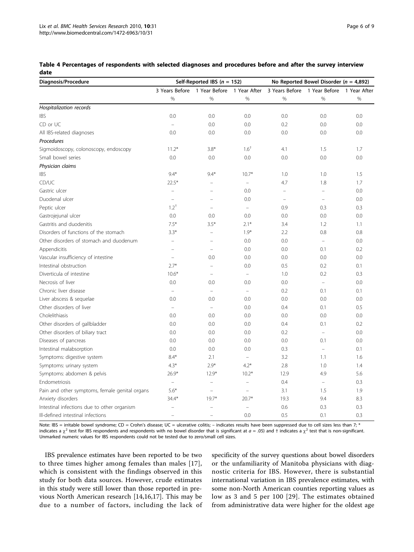<span id="page-5-0"></span>

| Table 4 Percentages of respondents with selected diagnoses and procedures before and after the survey interview |  |  |
|-----------------------------------------------------------------------------------------------------------------|--|--|
| date                                                                                                            |  |  |

| Diagnosis/Procedure                            | Self-Reported IBS ( $n = 152$ ) |                                           |                          | No Reported Bowel Disorder ( $n = 4,892$ ) |                                           |      |
|------------------------------------------------|---------------------------------|-------------------------------------------|--------------------------|--------------------------------------------|-------------------------------------------|------|
|                                                |                                 | 3 Years Before 1 Year Before 1 Year After |                          |                                            | 3 Years Before 1 Year Before 1 Year After |      |
|                                                | $\%$                            | %                                         | %                        | $\frac{0}{0}$                              | $\frac{0}{0}$                             | $\%$ |
| Hospitalization records                        |                                 |                                           |                          |                                            |                                           |      |
| <b>IBS</b>                                     | 0.0                             | 0.0                                       | 0.0                      | 0.0                                        | 0.0                                       | 0.0  |
| CD or UC                                       |                                 | 0.0                                       | 0.0                      | 0.2                                        | 0.0                                       | 0.0  |
| All IBS-related diagnoses                      | 0.0                             | 0.0                                       | 0.0                      | 0.0                                        | 0.0                                       | 0.0  |
| Procedures                                     |                                 |                                           |                          |                                            |                                           |      |
| Sigmoidoscopy, colonoscopy, endoscopy          | $11.2*$                         | $3.8*$                                    | $1.6^{\dagger}$          | 4.1                                        | 1.5                                       | 1.7  |
| Small bowel series                             | 0.0                             | 0.0                                       | 0.0                      | 0.0                                        | 0.0                                       | 0.0  |
| Physician claims                               |                                 |                                           |                          |                                            |                                           |      |
| <b>IBS</b>                                     | $9.4*$                          | $9.4*$                                    | $10.7*$                  | 1.0                                        | 1.0                                       | 1.5  |
| CD/UC                                          | $22.5*$                         |                                           |                          | 4.7                                        | 1.8                                       | 1.7  |
| Gastric ulcer                                  |                                 |                                           | 0.0                      | $\equiv$                                   | $\equiv$                                  | 0.0  |
| Duodenal ulcer                                 |                                 |                                           | 0.0                      | $\overline{a}$                             |                                           | 0.0  |
| Peptic ulcer                                   | $1.2^{+}$                       | $\overline{\phantom{0}}$                  | $\equiv$                 | 0.9                                        | 0.3                                       | 0.3  |
| Gastrojejunal ulcer                            | 0.0                             | 0.0                                       | 0.0                      | 0.0                                        | 0.0                                       | 0.0  |
| Gastritis and duodenitis                       | $7.5*$                          | $3.5*$                                    | $2.1*$                   | 3.4                                        | 1.2                                       | 1.1  |
| Disorders of functions of the stomach          | $3.3*$                          | L.                                        | $1.9*$                   | 2.2                                        | 0.8                                       | 0.8  |
| Other disorders of stomach and duodenum        |                                 |                                           | 0.0                      | 0.0                                        | $\equiv$                                  | 0.0  |
| Appendicitis                                   |                                 |                                           | 0.0                      | 0.0                                        | 0.1                                       | 0.2  |
| Vascular insufficiency of intestine            |                                 | 0.0                                       | 0.0                      | 0.0                                        | 0.0                                       | 0.0  |
| Intestinal obstruction                         | $2.7*$                          | $\overline{\phantom{a}}$                  | 0.0                      | 0.5                                        | 0.2                                       | 0.1  |
| Diverticula of intestine                       | $10.6*$                         | L.                                        | $\equiv$                 | 1.0                                        | 0.2                                       | 0.3  |
| Necrosis of liver                              | 0.0                             | 0.0                                       | 0.0                      | 0.0                                        | $\overline{a}$                            | 0.0  |
| Chronic liver disease                          |                                 |                                           | $\frac{1}{2}$            | 0.2                                        | 0.1                                       | 0.1  |
| Liver abscess & sequelae                       | 0.0                             | 0.0                                       | 0.0                      | 0.0                                        | 0.0                                       | 0.0  |
| Other disorders of liver                       | $\equiv$                        | $\equiv$                                  | 0.0                      | 0.4                                        | 0.1                                       | 0.5  |
| Cholelithiasis                                 | 0.0                             | 0.0                                       | 0.0                      | 0.0                                        | 0.0                                       | 0.0  |
| Other disorders of gallbladder                 | 0.0                             | 0.0                                       | 0.0                      | 0.4                                        | 0.1                                       | 0.2  |
| Other disorders of biliary tract               | 0.0                             | 0.0                                       | 0.0                      | 0.2                                        |                                           | 0.0  |
| Diseases of pancreas                           | 0.0                             | 0.0                                       | 0.0                      | 0.0                                        | 0.1                                       | 0.0  |
| Intestinal malabsorption                       | 0.0                             | 0.0                                       | 0.0                      | 0.3                                        | $\bar{ }$                                 | 0.1  |
| Symptoms: digestive system                     | $8.4*$                          | 2.1                                       | $\equiv$                 | 3.2                                        | 1.1                                       | 1.6  |
| Symptoms: urinary system                       | $4.3*$                          | $2.9*$                                    | $4.2*$                   | 2.8                                        | 1.0                                       | 1.4  |
| Symptoms: abdomen & pelvis                     | $26.9*$                         | $12.9*$                                   | $10.2*$                  | 12.9                                       | 4.9                                       | 5.6  |
| Endometriosis                                  | $\equiv$                        | $\overline{\phantom{0}}$                  | $\sim$                   | 0.4                                        | $\equiv$                                  | 0.3  |
| Pain and other symptoms, female genital organs | $5.6*$                          | $\overline{a}$                            | $\overline{\phantom{0}}$ | 3.1                                        | 1.5                                       | 1.9  |
| Anxiety disorders                              | $34.4*$                         | $19.7*$                                   | $20.7*$                  | 19.3                                       | 9.4                                       | 8.3  |
| Intestinal infections due to other organism    |                                 |                                           |                          | 0.6                                        | 0.3                                       | 0.3  |
| Ill-defined intestinal infections              | $\equiv$                        | $\overline{\phantom{0}}$                  | 0.0                      | 0.5                                        | 0.1                                       | 0.3  |

Note: IBS = irritable bowel syndrome; CD = Crohn's disease; UC = ulcerative colitis; - indicates results have been suppressed due to cell sizes less than 7; \* indicates a  $\chi^2$  test for IBS respondents and respondents with no bowel disorder that is significant at  $a = .05$ ) and † indicates a  $\chi^2$  test that is non-significant. Unmarked numeric values for IBS respondents could not be tested due to zero/small cell sizes.

IBS prevalence estimates have been reported to be two to three times higher among females than males [[17](#page-8-0)], which is consistent with the findings observed in this study for both data sources. However, crude estimates in this study were still lower than those reported in previous North American research [\[14](#page-8-0),[16,17\]](#page-8-0). This may be due to a number of factors, including the lack of specificity of the survey questions about bowel disorders or the unfamiliarity of Manitoba physicians with diagnostic criteria for IBS. However, there is substantial international variation in IBS prevalence estimates, with some non-North American counties reporting values as low as 3 and 5 per 100 [[29](#page-8-0)]. The estimates obtained from administrative data were higher for the oldest age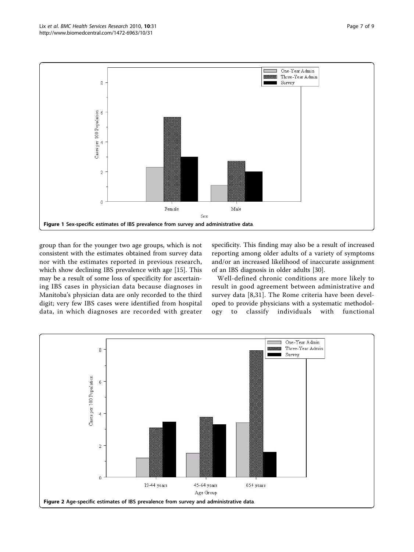<span id="page-6-0"></span>

group than for the younger two age groups, which is not consistent with the estimates obtained from survey data nor with the estimates reported in previous research, which show declining IBS prevalence with age [\[15\]](#page-8-0). This may be a result of some loss of specificity for ascertaining IBS cases in physician data because diagnoses in Manitoba's physician data are only recorded to the third digit; very few IBS cases were identified from hospital data, in which diagnoses are recorded with greater

specificity. This finding may also be a result of increased reporting among older adults of a variety of symptoms and/or an increased likelihood of inaccurate assignment of an IBS diagnosis in older adults [[30\]](#page-8-0).

Well-defined chronic conditions are more likely to result in good agreement between administrative and survey data [[8,](#page-7-0)[31](#page-8-0)]. The Rome criteria have been developed to provide physicians with a systematic methodology to classify individuals with functional

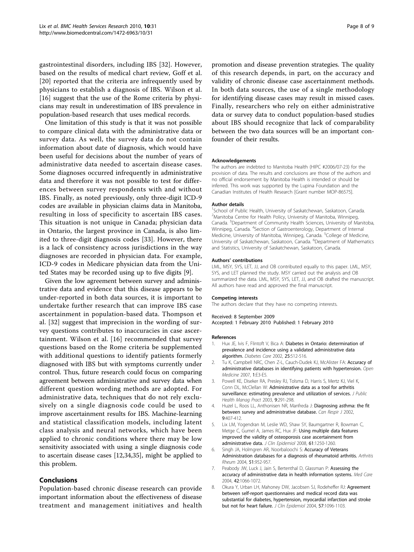<span id="page-7-0"></span>gastrointestinal disorders, including IBS [\[32](#page-8-0)]. However, based on the results of medical chart review, Goff et al. [[20](#page-8-0)] reported that the criteria are infrequently used by physicians to establish a diagnosis of IBS. Wilson et al. [[16\]](#page-8-0) suggest that the use of the Rome criteria by physicians may result in underestimation of IBS prevalence in population-based research that uses medical records.

One limitation of this study is that it was not possible to compare clinical data with the administrative data or survey data. As well, the survey data do not contain information about date of diagnosis, which would have been useful for decisions about the number of years of administrative data needed to ascertain disease cases. Some diagnoses occurred infrequently in administrative data and therefore it was not possible to test for differences between survey respondents with and without IBS. Finally, as noted previously, only three-digit ICD-9 codes are available in physician claims data in Manitoba, resulting in loss of specificity to ascertain IBS cases. This situation is not unique in Canada; physician data in Ontario, the largest province in Canada, is also limited to three-digit diagnosis codes [\[33](#page-8-0)]. However, there is a lack of consistency across jurisdictions in the way diagnoses are recorded in physician data. For example, ICD-9 codes in Medicare physician data from the United States may be recorded using up to five digits [[9](#page-8-0)].

Given the low agreement between survey and administrative data and evidence that this disease appears to be under-reported in both data sources, it is important to undertake further research that can improve IBS case ascertainment in population-based data. Thompson et al. [[32\]](#page-8-0) suggest that imprecision in the wording of survey questions contributes to inaccuracies in case ascertainment. Wilson et al. [\[16\]](#page-8-0) recommended that survey questions based on the Rome criteria be supplemented with additional questions to identify patients formerly diagnosed with IBS but with symptoms currently under control. Thus, future research could focus on comparing agreement between administrative and survey data when different question wording methods are adopted. For administrative data, techniques that do not rely exclusively on a single diagnosis code could be used to improve ascertainment results for IBS. Machine-learning and statistical classification models, including latent class analysis and neural networks, which have been applied to chronic conditions where there may be low sensitivity associated with using a single diagnosis code to ascertain disease cases [[12,34,35\]](#page-8-0), might be applied to this problem.

### Conclusions

Population-based chronic disease research can provide important information about the effectiveness of disease treatment and management initiatives and health

promotion and disease prevention strategies. The quality of this research depends, in part, on the accuracy and validity of chronic disease case ascertainment methods. In both data sources, the use of a single methodology for identifying disease cases may result in missed cases. Finally, researchers who rely on either administrative data or survey data to conduct population-based studies about IBS should recognize that lack of comparability between the two data sources will be an important confounder of their results.

#### Acknowledgements

The authors are indebted to Manitoba Health (HIPC #2006/07-23) for the provision of data. The results and conclusions are those of the authors and no official endorsement by Manitoba Health is intended or should be inferred. This work was supported by the Lupina Foundation and the Canadian Institutes of Health Research [Grant number MOP-86575].

#### Author details

<sup>1</sup>School of Public Health, University of Saskatchewan, Saskatoon, Canada. <sup>2</sup>Manitoba Centre for Health Policy, University of Manitoba, Winnipeg, Canada. <sup>3</sup>Department of Community Health Sciences, University of Manitoba Winnipeg, Canada. <sup>4</sup>Section of Gastroenterology, Department of Internal Medicine, University of Manitoba, Winnipeg, Canada. <sup>5</sup>College of Medicine, University of Saskatchewan, Saskatoon, Canada. <sup>6</sup>Department of Mathematics and Statistics, University of Saskatchewan, Saskatoon, Canada.

#### Authors' contributions

LML, MSY, SYS, LET, JJ, and OB contributed equally to this paper. LML, MSY, SYS, and LET planned the study. MSY carried out the analysis and OB summarized the data. LML, MSY, SYS, LET, JJ, and OB drafted the manuscript. All authors have read and approved the final manuscript.

#### Competing interests

The authors declare that they have no competing interests.

#### Received: 8 September 2009

Accepted: 1 February 2010 Published: 1 February 2010

#### References

- Hux JE, Ivis F, Flintoft V, Bica A: [Diabetes in Ontario: determination of](http://www.ncbi.nlm.nih.gov/pubmed/11874939?dopt=Abstract) [prevalence and incidence using a validated administrative data](http://www.ncbi.nlm.nih.gov/pubmed/11874939?dopt=Abstract) [algorithm.](http://www.ncbi.nlm.nih.gov/pubmed/11874939?dopt=Abstract) Diabetes Care 2002, 25:512-516.
- 2. Tu K, Campbell NRC, Chen Z-L, Cauch-Dudek KJ, McAlister FA: Accuracy of administrative databases in identifying patients with hypertension. Open Medicine 2007, 1:E3-E5.
- 3. Powell KE, Diseker RA, Presley RJ, Tolsma D, Harris S, Mertz KJ, Viel K, Conn DL, McClellan W: [Administrative data as a tool for arthritis](http://www.ncbi.nlm.nih.gov/pubmed/12836511?dopt=Abstract) [surveillance: estimating prevalence and utilization of services.](http://www.ncbi.nlm.nih.gov/pubmed/12836511?dopt=Abstract) J Public Health Manag Pract 2003, 9:291-298.
- 4. Huzel L, Roos LL, Anthonisen NR, Manfreda J: [Diagnosing asthma: the fit](http://www.ncbi.nlm.nih.gov/pubmed/12522486?dopt=Abstract) [between survey and administrative database.](http://www.ncbi.nlm.nih.gov/pubmed/12522486?dopt=Abstract) Can Respir J 2002, 9:407-412.
- 5. Lix LM, Yogendran M, Leslie WD, Shaw SY, Baumgartner R, Bowman C, Metge C, Gumel A, James RC, Hux JF: [Using multiple data features](http://www.ncbi.nlm.nih.gov/pubmed/18619800?dopt=Abstract) [improved the validity of osteoporosis case ascertainment from](http://www.ncbi.nlm.nih.gov/pubmed/18619800?dopt=Abstract) [administrative data.](http://www.ncbi.nlm.nih.gov/pubmed/18619800?dopt=Abstract) J Clin Epidemiol 2008, 61:1250-1260.
- 6. Singh JA, Holmgren AR, Noorbaloochi S: [Accuracy of Veterans](http://www.ncbi.nlm.nih.gov/pubmed/15593102?dopt=Abstract) [Administration databases for a diagnosis of rheumatoid arthritis.](http://www.ncbi.nlm.nih.gov/pubmed/15593102?dopt=Abstract) Arthritis Rheum 2004, 51:952-957.
- 7. Peabody JW, Luck J, Jain S, Bertenthal D, Glassman P: [Assessing the](http://www.ncbi.nlm.nih.gov/pubmed/15586833?dopt=Abstract) [accuracy of administrative data in health information systems.](http://www.ncbi.nlm.nih.gov/pubmed/15586833?dopt=Abstract) Med Care 2004, 42:1066-1072.
- 8. Okura Y, Urban LH, Mahoney DW, Jacobsen SJ, Rodeheffer RJ: [Agreement](http://www.ncbi.nlm.nih.gov/pubmed/15528061?dopt=Abstract) [between self-report questionnaires and medical record data was](http://www.ncbi.nlm.nih.gov/pubmed/15528061?dopt=Abstract) [substantial for diabetes, hypertension, myocardial infarction and stroke](http://www.ncbi.nlm.nih.gov/pubmed/15528061?dopt=Abstract) [but not for heart failure.](http://www.ncbi.nlm.nih.gov/pubmed/15528061?dopt=Abstract) J Clin Epidemiol 2004, 57:1096-1103.